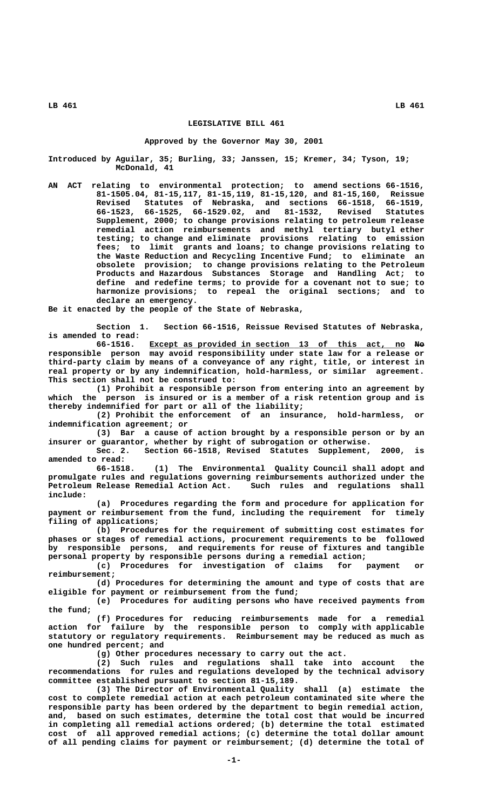# **LEGISLATIVE BILL 461**

#### **Approved by the Governor May 30, 2001**

**Introduced by Aguilar, 35; Burling, 33; Janssen, 15; Kremer, 34; Tyson, 19; McDonald, 41**

**AN ACT relating to environmental protection; to amend sections 66-1516, 81-1505.04, 81-15,117, 81-15,119, 81-15,120, and 81-15,160, Reissue Revised Statutes of Nebraska, and sections 66-1518, 66-1519, 66-1523, 66-1525, 66-1529.02, and 81-1532, Revised Statutes Supplement, 2000; to change provisions relating to petroleum release remedial action reimbursements and methyl tertiary butyl ether testing; to change and eliminate provisions relating to emission fees; to limit grants and loans; to change provisions relating to the Waste Reduction and Recycling Incentive Fund; to eliminate an obsolete provision; to change provisions relating to the Petroleum Products and Hazardous Substances Storage and Handling Act; to define and redefine terms; to provide for a covenant not to sue; to harmonize provisions; to repeal the original sections; and to declare an emergency.**

**Be it enacted by the people of the State of Nebraska,**

**Section 1. Section 66-1516, Reissue Revised Statutes of Nebraska, is amended to read:**

 **\_\_\_\_\_\_\_\_\_\_\_\_\_\_\_\_\_\_\_\_\_\_\_\_\_\_\_\_\_\_\_\_\_\_\_\_\_\_\_\_\_\_\_\_\_\_\_\_\_\_\_\_\_ —— 66-1516. Except as provided in section 13 of this act, no No responsible person may avoid responsibility under state law for a release or third-party claim by means of a conveyance of any right, title, or interest in real property or by any indemnification, hold-harmless, or similar agreement. This section shall not be construed to:**

**(1) Prohibit a responsible person from entering into an agreement by which the person is insured or is a member of a risk retention group and is thereby indemnified for part or all of the liability;**

**(2) Prohibit the enforcement of an insurance, hold-harmless, or indemnification agreement; or**

**(3) Bar a cause of action brought by a responsible person or by an insurer or guarantor, whether by right of subrogation or otherwise.**

**Sec. 2. Section 66-1518, Revised Statutes Supplement, 2000, is amended to read:**

**66-1518. (1) The Environmental Quality Council shall adopt and promulgate rules and regulations governing reimbursements authorized under the** Petroleum Release Remedial Action Act.  **include:**

**(a) Procedures regarding the form and procedure for application for payment or reimbursement from the fund, including the requirement for timely filing of applications;**

**(b) Procedures for the requirement of submitting cost estimates for phases or stages of remedial actions, procurement requirements to be followed by responsible persons, and requirements for reuse of fixtures and tangible personal property by responsible persons during a remedial action;**

**(c) Procedures for investigation of claims for payment or reimbursement;**

**(d) Procedures for determining the amount and type of costs that are eligible for payment or reimbursement from the fund;**

**(e) Procedures for auditing persons who have received payments from the fund;**

**(f) Procedures for reducing reimbursements made for a remedial action for failure by the responsible person to comply with applicable statutory or regulatory requirements. Reimbursement may be reduced as much as one hundred percent; and**

**(g) Other procedures necessary to carry out the act.**

**(2) Such rules and regulations shall take into account the recommendations for rules and regulations developed by the technical advisory committee established pursuant to section 81-15,189.**

**(3) The Director of Environmental Quality shall (a) estimate the cost to complete remedial action at each petroleum contaminated site where the responsible party has been ordered by the department to begin remedial action, and, based on such estimates, determine the total cost that would be incurred in completing all remedial actions ordered; (b) determine the total estimated cost of all approved remedial actions; (c) determine the total dollar amount of all pending claims for payment or reimbursement; (d) determine the total of**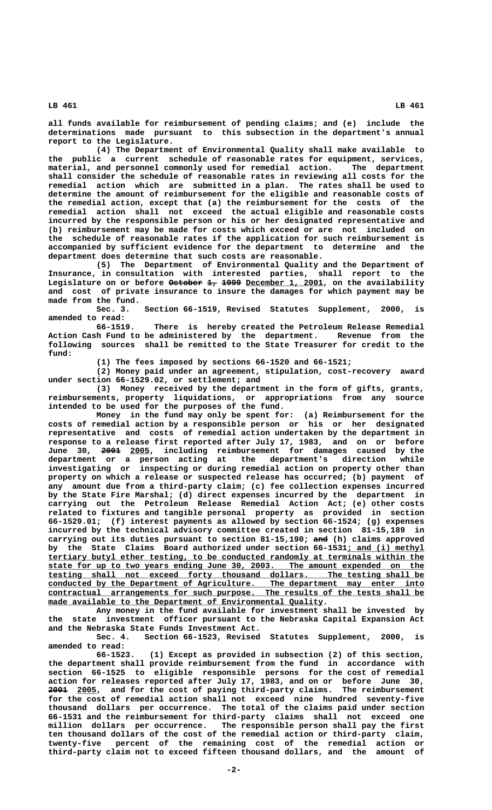**all funds available for reimbursement of pending claims; and (e) include the determinations made pursuant to this subsection in the department's annual report to the Legislature.**

**(4) The Department of Environmental Quality shall make available to the public a current schedule of reasonable rates for equipment, services, material, and personnel commonly used for remedial action. The department shall consider the schedule of reasonable rates in reviewing all costs for the remedial action which are submitted in a plan. The rates shall be used to determine the amount of reimbursement for the eligible and reasonable costs of the remedial action, except that (a) the reimbursement for the costs of the remedial action shall not exceed the actual eligible and reasonable costs incurred by the responsible person or his or her designated representative and (b) reimbursement may be made for costs which exceed or are not included on the schedule of reasonable rates if the application for such reimbursement is accompanied by sufficient evidence for the department to determine and the department does determine that such costs are reasonable.**

**(5) The Department of Environmental Quality and the Department of Insurance, in consultation with interested parties, shall report to the** Legislature on or before <del>October 1, 1999</del> <u>December 1, 2001</u>, on the availability **and cost of private insurance to insure the damages for which payment may be made from the fund.**

**Sec. 3. Section 66-1519, Revised Statutes Supplement, 2000, is amended to read:**

**66-1519. There is hereby created the Petroleum Release Remedial Action Cash Fund to be administered by the department. Revenue from the following sources shall be remitted to the State Treasurer for credit to the fund:**

**(1) The fees imposed by sections 66-1520 and 66-1521;**

**(2) Money paid under an agreement, stipulation, cost-recovery award under section 66-1529.02, or settlement; and**

**(3) Money received by the department in the form of gifts, grants, reimbursements, property liquidations, or appropriations from any source intended to be used for the purposes of the fund.**

**Money in the fund may only be spent for: (a) Reimbursement for the costs of remedial action by a responsible person or his or her designated representative and costs of remedial action undertaken by the department in response to a release first reported after July 17, 1983, and on or before ———— \_\_\_\_ June 30, 2001 2005, including reimbursement for damages caused by the department or a person acting at the department's direction while investigating or inspecting or during remedial action on property other than property on which a release or suspected release has occurred; (b) payment of any amount due from a third-party claim; (c) fee collection expenses incurred by the State Fire Marshal; (d) direct expenses incurred by the department in carrying out the Petroleum Release Remedial Action Act; (e) other costs related to fixtures and tangible personal property as provided in section 66-1529.01; (f) interest payments as allowed by section 66-1524; (g) expenses incurred by the technical advisory committee created in section 81-15,189 in carrying out its duties pursuant to section 81-15,190; and (h) claims approved ——** by the State Claims Board authorized under section 66-1531; and (i) methyl  $\frac{1}{2}$   $\frac{1}{2}$   $\frac{1}{2}$   $\frac{1}{2}$   $\frac{1}{2}$   $\frac{1}{2}$   $\frac{1}{2}$   $\frac{1}{2}$   $\frac{1}{2}$   $\frac{1}{2}$   $\frac{1}{2}$   $\frac{1}{2}$   $\frac{1}{2}$   $\frac{1}{2}$   $\frac{1}{2}$   $\frac{1}{2}$   $\frac{1}{2}$   $\frac{1}{2}$   $\frac{1}{2}$   $\frac{1}{2}$   $\frac{1}{2}$   $\frac{1}{2}$   $\$  **\_\_\_\_\_\_\_\_\_\_\_\_\_\_\_\_\_\_\_\_\_\_\_\_\_\_\_\_\_\_\_\_\_\_\_\_\_\_\_\_\_\_\_\_\_\_\_\_\_\_\_\_\_\_\_\_\_\_\_\_\_\_\_\_\_\_\_\_\_\_\_\_\_\_\_\_\_\_ state for up to two years ending June 30, 2003. The amount expended on the \_\_\_\_\_\_\_\_\_\_\_\_\_\_\_\_\_\_\_\_\_\_\_\_\_\_\_\_\_\_\_\_\_\_\_\_\_\_\_\_\_\_\_\_\_\_\_\_\_\_\_\_\_\_\_\_\_\_\_\_\_\_\_\_\_\_\_\_\_\_\_\_\_\_\_\_\_\_ testing shall not exceed forty thousand dollars. The testing shall be \_\_\_\_\_\_\_\_\_\_\_\_\_\_\_\_\_\_\_\_\_\_\_\_\_\_\_\_\_\_\_\_\_\_\_\_\_\_\_\_\_\_\_\_\_\_\_\_\_\_\_\_\_\_\_\_\_\_\_\_\_\_\_\_\_\_\_\_\_\_\_\_\_\_\_\_\_\_ conducted by the Department of Agriculture. The department may enter into \_\_\_\_\_\_\_\_\_\_\_\_\_\_\_\_\_\_\_\_\_\_\_\_\_\_\_\_\_\_\_\_\_\_\_\_\_\_\_\_\_\_\_\_\_\_\_\_\_\_\_\_\_\_\_\_\_\_\_\_\_\_\_\_\_\_\_\_\_\_\_\_\_\_\_\_\_\_ contractual arrangements for such purpose. The results of the tests shall be**  $\blacksquare$  ade available to the Department of Environmental Quality.

**Any money in the fund available for investment shall be invested by the state investment officer pursuant to the Nebraska Capital Expansion Act and the Nebraska State Funds Investment Act.**

**Sec. 4. Section 66-1523, Revised Statutes Supplement, 2000, is amended to read:**

**66-1523. (1) Except as provided in subsection (2) of this section, the department shall provide reimbursement from the fund in accordance with section 66-1525 to eligible responsible persons for the cost of remedial action for releases reported after July 17, 1983, and on or before June 30, ———— \_\_\_\_ 2001 2005, and for the cost of paying third-party claims. The reimbursement for the cost of remedial action shall not exceed nine hundred seventy-five thousand dollars per occurrence. The total of the claims paid under section 66-1531 and the reimbursement for third-party claims shall not exceed one million dollars per occurrence. The responsible person shall pay the first ten thousand dollars of the cost of the remedial action or third-party claim, twenty-five percent of the remaining cost of the remedial action or third-party claim not to exceed fifteen thousand dollars, and the amount of**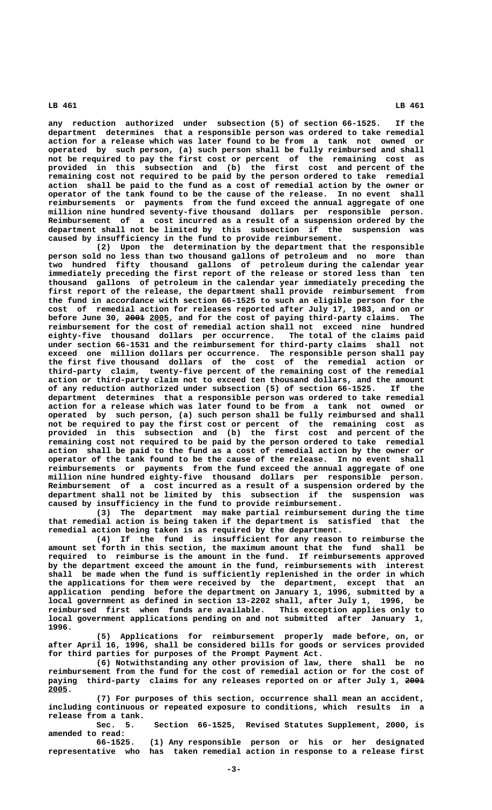**any reduction authorized under subsection (5) of section 66-1525. If the department determines that a responsible person was ordered to take remedial action for a release which was later found to be from a tank not owned or operated by such person, (a) such person shall be fully reimbursed and shall not be required to pay the first cost or percent of the remaining cost as provided in this subsection and (b) the first cost and percent of the remaining cost not required to be paid by the person ordered to take remedial action shall be paid to the fund as a cost of remedial action by the owner or operator of the tank found to be the cause of the release. In no event shall reimbursements or payments from the fund exceed the annual aggregate of one million nine hundred seventy-five thousand dollars per responsible person. Reimbursement of a cost incurred as a result of a suspension ordered by the department shall not be limited by this subsection if the suspension was caused by insufficiency in the fund to provide reimbursement.**

**(2) Upon the determination by the department that the responsible person sold no less than two thousand gallons of petroleum and no more than two hundred fifty thousand gallons of petroleum during the calendar year immediately preceding the first report of the release or stored less than ten thousand gallons of petroleum in the calendar year immediately preceding the first report of the release, the department shall provide reimbursement from the fund in accordance with section 66-1525 to such an eligible person for the cost of remedial action for releases reported after July 17, 1983, and on or** before June 30, 2001 2005, and for the cost of paying third-party claims. The **reimbursement for the cost of remedial action shall not exceed nine hundred eighty-five thousand dollars per occurrence. The total of the claims paid under section 66-1531 and the reimbursement for third-party claims shall not exceed one million dollars per occurrence. The responsible person shall pay the first five thousand dollars of the cost of the remedial action or third-party claim, twenty-five percent of the remaining cost of the remedial action or third-party claim not to exceed ten thousand dollars, and the amount of any reduction authorized under subsection (5) of section 66-1525. If the department determines that a responsible person was ordered to take remedial action for a release which was later found to be from a tank not owned or operated by such person, (a) such person shall be fully reimbursed and shall not be required to pay the first cost or percent of the remaining cost as provided in this subsection and (b) the first cost and percent of the remaining cost not required to be paid by the person ordered to take remedial action shall be paid to the fund as a cost of remedial action by the owner or operator of the tank found to be the cause of the release. In no event shall reimbursements or payments from the fund exceed the annual aggregate of one million nine hundred eighty-five thousand dollars per responsible person. Reimbursement of a cost incurred as a result of a suspension ordered by the department shall not be limited by this subsection if the suspension was caused by insufficiency in the fund to provide reimbursement.**

**(3) The department may make partial reimbursement during the time that remedial action is being taken if the department is satisfied that the remedial action being taken is as required by the department.**

**(4) If the fund is insufficient for any reason to reimburse the amount set forth in this section, the maximum amount that the fund shall be required to reimburse is the amount in the fund. If reimbursements approved by the department exceed the amount in the fund, reimbursements with interest shall be made when the fund is sufficiently replenished in the order in which the applications for them were received by the department, except that an application pending before the department on January 1, 1996, submitted by a local government as defined in section 13-2202 shall, after July 1, 1996, be reimbursed first when funds are available. This exception applies only to local government applications pending on and not submitted after January 1, 1996.**

**(5) Applications for reimbursement properly made before, on, or after April 16, 1996, shall be considered bills for goods or services provided for third parties for purposes of the Prompt Payment Act.**

**(6) Notwithstanding any other provision of law, there shall be no reimbursement from the fund for the cost of remedial action or for the cost of** paying third-party claims for any releases reported on or after July 1, 2001  **2005. \_\_\_\_**

**(7) For purposes of this section, occurrence shall mean an accident, including continuous or repeated exposure to conditions, which results in a release from a tank.**

**Sec. 5. Section 66-1525, Revised Statutes Supplement, 2000, is amended to read:**

**66-1525. (1) Any responsible person or his or her designated representative who has taken remedial action in response to a release first**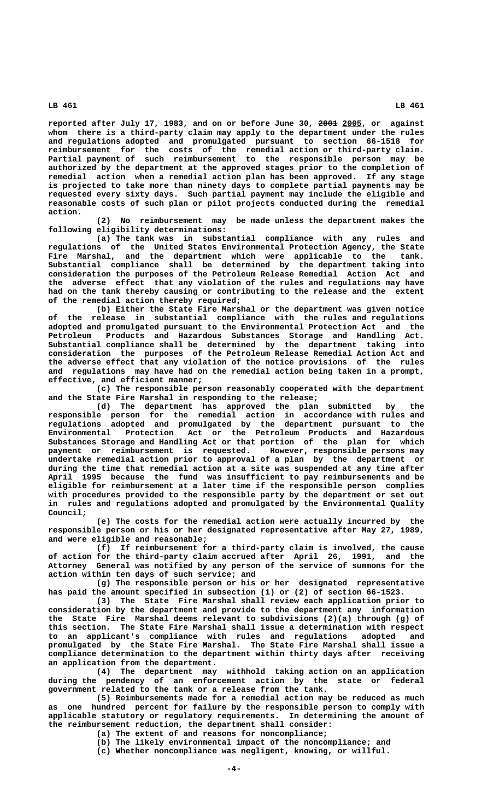reported after July 17, 1983, and on or before June 30, 2001 2005, or against **whom there is a third-party claim may apply to the department under the rules and regulations adopted and promulgated pursuant to section 66-1518 for reimbursement for the costs of the remedial action or third-party claim. Partial payment of such reimbursement to the responsible person may be authorized by the department at the approved stages prior to the completion of remedial action when a remedial action plan has been approved. If any stage is projected to take more than ninety days to complete partial payments may be requested every sixty days. Such partial payment may include the eligible and reasonable costs of such plan or pilot projects conducted during the remedial action.**

**(2) No reimbursement may be made unless the department makes the following eligibility determinations:**

**(a) The tank was in substantial compliance with any rules and regulations of the United States Environmental Protection Agency, the State Fire Marshal, and the department which were applicable to the tank. Substantial compliance shall be determined by the department taking into consideration the purposes of the Petroleum Release Remedial Action Act and the adverse effect that any violation of the rules and regulations may have had on the tank thereby causing or contributing to the release and the extent of the remedial action thereby required;**

**(b) Either the State Fire Marshal or the department was given notice of the release in substantial compliance with the rules and regulations adopted and promulgated pursuant to the Environmental Protection Act and the Petroleum Products and Hazardous Substances Storage and Handling Act. Substantial compliance shall be determined by the department taking into consideration the purposes of the Petroleum Release Remedial Action Act and the adverse effect that any violation of the notice provisions of the rules and regulations may have had on the remedial action being taken in a prompt, effective, and efficient manner;**

**(c) The responsible person reasonably cooperated with the department and the State Fire Marshal in responding to the release;**

**(d) The department has approved the plan submitted by the responsible person for the remedial action in accordance with rules and regulations adopted and promulgated by the department pursuant to the Environmental Protection Act or the Petroleum Products and Hazardous Substances Storage and Handling Act or that portion of the plan for which payment or reimbursement is requested. However, responsible persons may undertake remedial action prior to approval of a plan by the department or during the time that remedial action at a site was suspended at any time after April 1995 because the fund was insufficient to pay reimbursements and be eligible for reimbursement at a later time if the responsible person complies with procedures provided to the responsible party by the department or set out in rules and regulations adopted and promulgated by the Environmental Quality Council;**

**(e) The costs for the remedial action were actually incurred by the responsible person or his or her designated representative after May 27, 1989, and were eligible and reasonable;**

**(f) If reimbursement for a third-party claim is involved, the cause of action for the third-party claim accrued after April 26, 1991, and the Attorney General was notified by any person of the service of summons for the action within ten days of such service; and**

**(g) The responsible person or his or her designated representative has paid the amount specified in subsection (1) or (2) of section 66-1523.**

**(3) The State Fire Marshal shall review each application prior to consideration by the department and provide to the department any information the State Fire Marshal deems relevant to subdivisions (2)(a) through (g) of this section. The State Fire Marshal shall issue a determination with respect to an applicant's compliance with rules and regulations adopted and promulgated by the State Fire Marshal. The State Fire Marshal shall issue a compliance determination to the department within thirty days after receiving an application from the department.**

**(4) The department may withhold taking action on an application during the pendency of an enforcement action by the state or federal government related to the tank or a release from the tank.**

**(5) Reimbursements made for a remedial action may be reduced as much as one hundred percent for failure by the responsible person to comply with applicable statutory or regulatory requirements. In determining the amount of the reimbursement reduction, the department shall consider:**

**(a) The extent of and reasons for noncompliance;**

**(b) The likely environmental impact of the noncompliance; and**

**(c) Whether noncompliance was negligent, knowing, or willful.**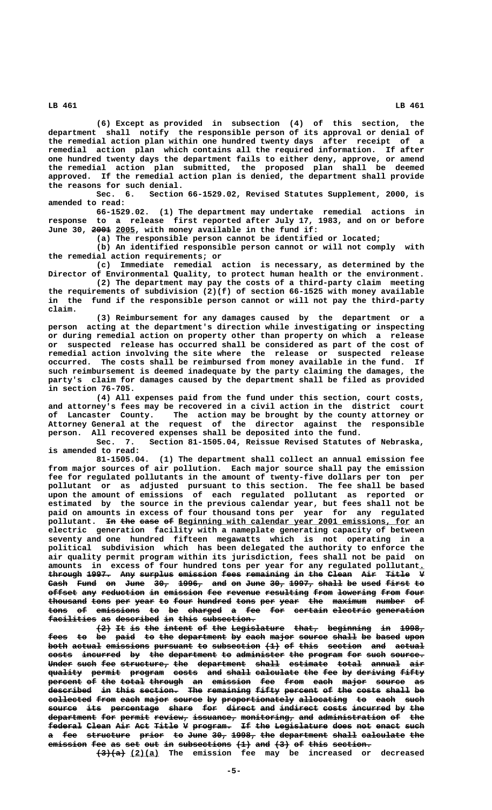**(6) Except as provided in subsection (4) of this section, the department shall notify the responsible person of its approval or denial of the remedial action plan within one hundred twenty days after receipt of a remedial action plan which contains all the required information. If after one hundred twenty days the department fails to either deny, approve, or amend the remedial action plan submitted, the proposed plan shall be deemed approved. If the remedial action plan is denied, the department shall provide** the reasons for such denial.<br>Sec. 6. Section

Section 66-1529.02, Revised Statutes Supplement, 2000, is **amended to read:**

**66-1529.02. (1) The department may undertake remedial actions in response to a release first reported after July 17, 1983, and on or before** June 30, 2001 2005, with money available in the fund if:

**(a) The responsible person cannot be identified or located;**

**(b) An identified responsible person cannot or will not comply with the remedial action requirements; or**

**(c) Immediate remedial action is necessary, as determined by the Director of Environmental Quality, to protect human health or the environment.**

**(2) The department may pay the costs of a third-party claim meeting the requirements of subdivision (2)(f) of section 66-1525 with money available in the fund if the responsible person cannot or will not pay the third-party claim.**

**(3) Reimbursement for any damages caused by the department or a person acting at the department's direction while investigating or inspecting or during remedial action on property other than property on which a release or suspected release has occurred shall be considered as part of the cost of remedial action involving the site where the release or suspected release occurred. The costs shall be reimbursed from money available in the fund. If such reimbursement is deemed inadequate by the party claiming the damages, the party's claim for damages caused by the department shall be filed as provided in section 76-705.**

**(4) All expenses paid from the fund under this section, court costs, and attorney's fees may be recovered in a civil action in the district court of Lancaster County. The action may be brought by the county attorney or Attorney General at the request of the director against the responsible person. All recovered expenses shall be deposited into the fund.**

**Sec. 7. Section 81-1505.04, Reissue Revised Statutes of Nebraska, is amended to read:**

**81-1505.04. (1) The department shall collect an annual emission fee from major sources of air pollution. Each major source shall pay the emission fee for regulated pollutants in the amount of twenty-five dollars per ton per pollutant or as adjusted pursuant to this section. The fee shall be based upon the amount of emissions of each regulated pollutant as reported or estimated by the source in the previous calendar year, but fees shall not be paid on amounts in excess of four thousand tons per year for any regulated** pollutant. <del>In the case of</del> Beginning with calendar year 2001 emissions, for an **electric generation facility with a nameplate generating capacity of between seventy and one hundred fifteen megawatts which is not operating in a political subdivision which has been delegated the authority to enforce the air quality permit program within its jurisdiction, fees shall not be paid on amounts in excess of four hundred tons per year for any regulated pollutant.\_** through 1997. Any surplus emission fees remaining in the Clean Air Title V Cash Fund on June 30, 1996, and on June 30, 1997, shall be used first to **offset any reduction in emission fee revenue resulting from lowering from four** thousand tons per year to four hundred tons per year the maximum number of tons of emissions to be charged a fee for certain electric generation facilities as described in this subsection.

**(2) It is the intent of the Legislature that, beginning in 1998, ——— —— —— ——— —————— —— ——— ——————————— ————— ————————— —— ————** fees to be paid to the department by each major source shall be based upon both actual emissions pursuant to subsection (1) of this section and actual **costs incurred by the department to administer the program for such source. Under such fee structure, the department shall estimate total annual air ————— ———— ——— —————————— ——— —————————— ————— ———————— ————— —————— —— quality permit program costs and shall calculate the fee by deriving fifty ——————— —————— ——————— ————— ——— ————— ————————— ——— ——— —— ———————— ———— percent of the total through an emission fee from each major source as ——————— —— ——— ————— ——————— —— ———————— ——— ———— ———— ————— —————— ——**  $\overline{\text{described}}$  i<del>n</del> this section. The remaining fifty percent of the costs shall be  $\text{collected from each major source by preportionately allocating to each such.}$ **source its percentage share for direct and indirect costs incurred by the —————— ——— —————————— ————— ——— —————— ——— ———————— ————— ———————— —— ——** department for permit review, issuance, monitoring, and administration of the federal Clean Air Act Title V program. If the Legislature does not enact such a fee structure prior to June 30, 1998, the department shall calculate the emission fee as set out in subsections  $(1)$  and  $(3)$  of this section.

 **—————— \_\_\_\_\_\_ (3)(a) (2)(a) The emission fee may be increased or decreased**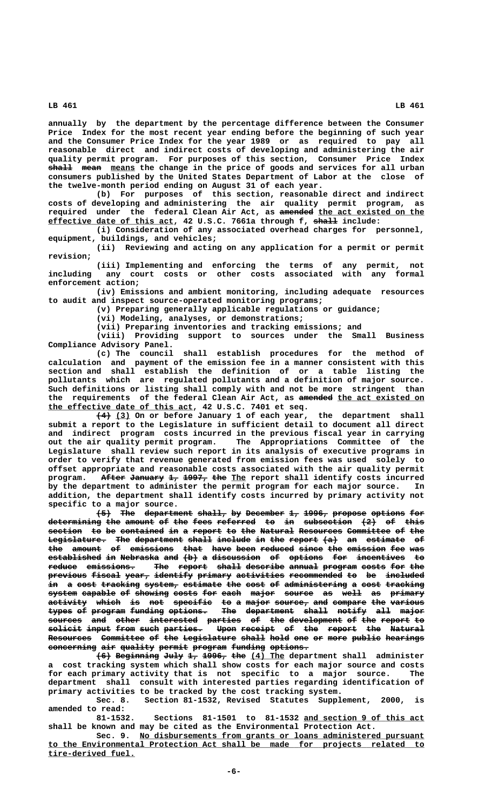**annually by the department by the percentage difference between the Consumer Price Index for the most recent year ending before the beginning of such year and the Consumer Price Index for the year 1989 or as required to pay all reasonable direct and indirect costs of developing and administering the air quality permit program. For purposes of this section, Consumer Price Index**  $\frac{1}{2}$  mean means the change in the price of goods and services for all urban **consumers published by the United States Department of Labor at the close of the twelve-month period ending on August 31 of each year.**

**(b) For purposes of this section, reasonable direct and indirect costs of developing and administering the air quality permit program, as** required under the federal Clean Air Act, as amended the act existed on the  **\_\_\_\_\_\_\_\_\_\_\_\_\_\_\_\_\_\_\_\_\_\_\_\_\_\_ ————— effective date of this act, 42 U.S.C. 7661a through f, shall include:**

**(i) Consideration of any associated overhead charges for personnel, equipment, buildings, and vehicles;**

**(ii) Reviewing and acting on any application for a permit or permit revision;**

**(iii) Implementing and enforcing the terms of any permit, not including any court costs or other costs associated with any formal enforcement action;**

**(iv) Emissions and ambient monitoring, including adequate resources to audit and inspect source-operated monitoring programs;**

**(v) Preparing generally applicable regulations or guidance;**

**(vi) Modeling, analyses, or demonstrations;**

**(vii) Preparing inventories and tracking emissions; and**

**(viii) Providing support to sources under the Small Business Compliance Advisory Panel.**

**(c) The council shall establish procedures for the method of calculation and payment of the emission fee in a manner consistent with this section and shall establish the definition of or a table listing the pollutants which are regulated pollutants and a definition of major source. Such definitions or listing shall comply with and not be more stringent than** the requirements of the federal Clean Air Act, as <del>amended</del> <u>the act existed on</u>  **\_\_\_\_\_\_\_\_\_\_\_\_\_\_\_\_\_\_\_\_\_\_\_\_\_\_\_\_\_\_ the effective date of this act, 42 U.S.C. 7401 et seq.**

 **——— \_\_\_ (4) (3) On or before January 1 of each year, the department shall submit a report to the Legislature in sufficient detail to document all direct and indirect program costs incurred in the previous fiscal year in carrying** The Appropriations Committee of the **Legislature shall review such report in its analysis of executive programs in order to verify that revenue generated from emission fees was used solely to offset appropriate and reasonable costs associated with the air quality permit program.** After January 1, 1997, the The report shall identify costs incurred **by the department to administer the permit program for each major source. In addition, the department shall identify costs incurred by primary activity not specific to a major source.**

 $\leftarrow$  The department shall, by December 1, 1996, propose options for **determining the amount of the fees referred to in subsection (2) of this ——————————— ——— —————— —— ——— ———— ———————— —— —— —————————— ——— —— ———** section to be contained in a report to the Natural Resources Committee of the Legislature. The department shall include in the report (a) an estimate of the amount of emissions that have been reduced since the emission fee was **established in Nebraska and (b) a discussion of options for incentives to ——————————— —— ———————— ——— ——— — —————————— —— ——————— ——— —————————— —** reduce emissions. The report shall describe annual program costs for the **previous fiscal year, identify primary activities recommended to be included** in a cost tracking system, estimate the cost of administering a cost tracking system capable of showing costs for each major source as well as primary **activity which is not specific to a major source, and compare the various ———————— ————— —— ——— ———————— —— — ————— ——————— ——— ——————— ——— —————— types of program funding options. The department shall notify all major ————— —— ——————— ——————— ———————— ——— —————————— ————— —————— ——— ———— sources and other interested parties of the development of the report to ——————— ——— ————— —————————— ——————— —— ——— ——————————— —— ——— —————— — solicit input from such parties. Upon receipt of the report the Natural ——————— ————— ———— ———— ———————— ———— ——————— —— ——— —————— ——— ———————** Resources Committee of the Legislature shall hold one or more public hearings concerning air quality permit program funding options.

**(6) Beginning July 1, 1996, the (4) The department shall administer a cost tracking system which shall show costs for each major source and costs for each primary activity that is not specific to a major source. The department shall consult with interested parties regarding identification of primary activities to be tracked by the cost tracking system.**

**Sec. 8. Section 81-1532, Revised Statutes Supplement, 2000, is amended to read:**

81-1532. Sections 81-1501 to 81-1532 and section 9 of this act **shall be known and may be cited as the Environmental Protection Act.**

 **\_\_\_\_\_\_\_\_\_\_\_\_\_\_\_\_\_\_\_\_\_\_\_\_\_\_\_\_\_\_\_\_\_\_\_\_\_\_\_\_\_\_\_\_\_\_\_\_\_\_\_\_\_\_\_\_\_\_\_ Sec. 9. No disbursements from grants or loans administered pursuant \_\_\_\_\_\_\_\_\_\_\_\_\_\_\_\_\_\_\_\_\_\_\_\_\_\_\_\_\_\_\_\_\_\_\_\_\_\_\_\_\_\_\_\_\_\_\_\_\_\_\_\_\_\_\_\_\_\_\_\_\_\_\_\_\_\_\_\_\_\_\_\_\_\_\_\_\_\_ to the Environmental Protection Act shall be made for projects related to tire-derived fuel. \_\_\_\_\_\_\_\_\_\_\_\_\_\_\_\_\_\_**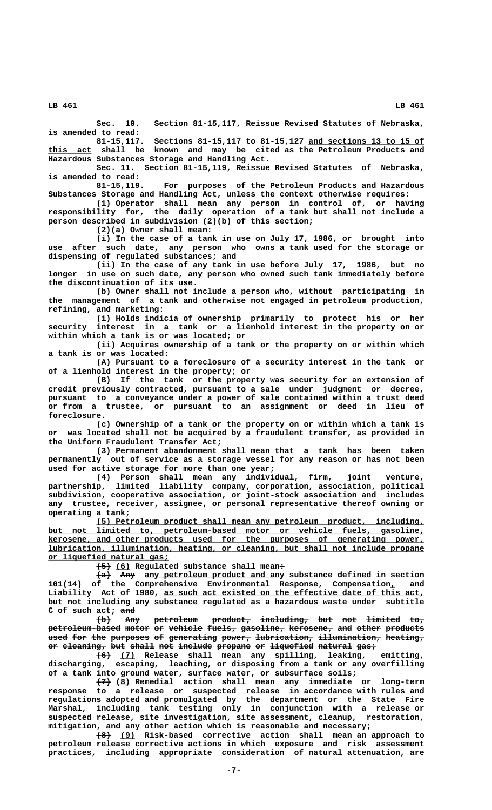**Sec. 10. Section 81-15,117, Reissue Revised Statutes of Nebraska, is amended to read:**

**81-15,117. Sections 81-15,117 to 81-15,127 and sections 13 to 15 of \_\_\_\_\_\_\_\_\_\_\_\_\_\_\_\_\_\_\_\_\_\_\_\_ \_\_\_\_\_\_\_\_\_ this act shall be known and may be cited as the Petroleum Products and Hazardous Substances Storage and Handling Act.**

**Sec. 11. Section 81-15,119, Reissue Revised Statutes of Nebraska, is amended to read:**

**81-15,119. For purposes of the Petroleum Products and Hazardous Substances Storage and Handling Act, unless the context otherwise requires:**

**(1) Operator shall mean any person in control of, or having responsibility for, the daily operation of a tank but shall not include a person described in subdivision (2)(b) of this section;**

**(2)(a) Owner shall mean:**

**(i) In the case of a tank in use on July 17, 1986, or brought into use after such date, any person who owns a tank used for the storage or dispensing of regulated substances; and**

**(ii) In the case of any tank in use before July 17, 1986, but no longer in use on such date, any person who owned such tank immediately before the discontinuation of its use.**

**(b) Owner shall not include a person who, without participating in the management of a tank and otherwise not engaged in petroleum production, refining, and marketing:**

**(i) Holds indicia of ownership primarily to protect his or her security interest in a tank or a lienhold interest in the property on or within which a tank is or was located; or**

**(ii) Acquires ownership of a tank or the property on or within which a tank is or was located:**

**(A) Pursuant to a foreclosure of a security interest in the tank or of a lienhold interest in the property; or**

**(B) If the tank or the property was security for an extension of credit previously contracted, pursuant to a sale under judgment or decree, pursuant to a conveyance under a power of sale contained within a trust deed or from a trustee, or pursuant to an assignment or deed in lieu of foreclosure.**

**(c) Ownership of a tank or the property on or within which a tank is or was located shall not be acquired by a fraudulent transfer, as provided in the Uniform Fraudulent Transfer Act;**

**(3) Permanent abandonment shall mean that a tank has been taken permanently out of service as a storage vessel for any reason or has not been used for active storage for more than one year;**

**(4) Person shall mean any individual, firm, joint venture, partnership, limited liability company, corporation, association, political subdivision, cooperative association, or joint-stock association and includes any trustee, receiver, assignee, or personal representative thereof owning or operating a tank;**

 **\_\_\_\_\_\_\_\_\_\_\_\_\_\_\_\_\_\_\_\_\_\_\_\_\_\_\_\_\_\_\_\_\_\_\_\_\_\_\_\_\_\_\_\_\_\_\_\_\_\_\_\_\_\_\_\_\_\_\_\_\_\_\_\_\_\_\_\_ (5) Petroleum product shall mean any petroleum product, including, \_\_\_\_\_\_\_\_\_\_\_\_\_\_\_\_\_\_\_\_\_\_\_\_\_\_\_\_\_\_\_\_\_\_\_\_\_\_\_\_\_\_\_\_\_\_\_\_\_\_\_\_\_\_\_\_\_\_\_\_\_\_\_\_\_\_\_\_\_\_\_\_\_\_\_\_\_\_ but not limited to, petroleum-based motor or vehicle fuels, gasoline, \_\_\_\_\_\_\_\_\_\_\_\_\_\_\_\_\_\_\_\_\_\_\_\_\_\_\_\_\_\_\_\_\_\_\_\_\_\_\_\_\_\_\_\_\_\_\_\_\_\_\_\_\_\_\_\_\_\_\_\_\_\_\_\_\_\_\_\_\_\_\_\_\_\_\_\_\_\_ kerosene, and other products used for the purposes of generating power, \_\_\_\_\_\_\_\_\_\_\_\_\_\_\_\_\_\_\_\_\_\_\_\_\_\_\_\_\_\_\_\_\_\_\_\_\_\_\_\_\_\_\_\_\_\_\_\_\_\_\_\_\_\_\_\_\_\_\_\_\_\_\_\_\_\_\_\_\_\_\_\_\_\_\_\_\_\_ lubrication, illumination, heating, or cleaning, but shall not include propane \_\_\_\_\_\_\_\_\_\_\_\_\_\_\_\_\_\_\_\_\_\_\_\_\_ or liquefied natural gas;**

 $\overline{+5}$  (6) Regulated substance shall mean+

 $\overline{+a}$  Any any petroleum product and any substance defined in section **101(14) of the Comprehensive Environmental Response, Compensation, and \_** Liability Act of 1980, <u>as such act existed on the effective date of this act,</u> **but not including any substance regulated as a hazardous waste under subtitle ——— C of such act; and**

 $\lbrace \pm \rbrace$  Any petroleum product, including, but not limited to,  $p$ etroleum-based motor or vehicle fuels, gasoline, kerosene, and other products used for the purposes of generating power, lubrication, illumination, heating, or cleaning, but shall not include propane or liquefied natural gas;

 **——— \_\_\_ (6) (7) Release shall mean any spilling, leaking, emitting, discharging, escaping, leaching, or disposing from a tank or any overfilling of a tank into ground water, surface water, or subsurface soils;**

 **——— \_\_\_ (7) (8) Remedial action shall mean any immediate or long-term response to a release or suspected release in accordance with rules and regulations adopted and promulgated by the department or the State Fire Marshal, including tank testing only in conjunction with a release or suspected release, site investigation, site assessment, cleanup, restoration, mitigation, and any other action which is reasonable and necessary;**

 **——— \_\_\_ (8) (9) Risk-based corrective action shall mean an approach to petroleum release corrective actions in which exposure and risk assessment practices, including appropriate consideration of natural attenuation, are**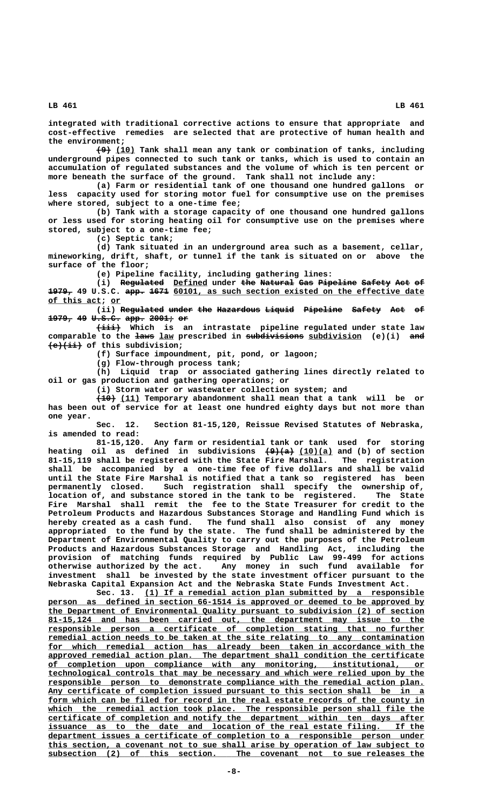**integrated with traditional corrective actions to ensure that appropriate and cost-effective remedies are selected that are protective of human health and the environment;**

 **——— \_\_\_\_ (9) (10) Tank shall mean any tank or combination of tanks, including underground pipes connected to such tank or tanks, which is used to contain an accumulation of regulated substances and the volume of which is ten percent or more beneath the surface of the ground. Tank shall not include any:**

**(a) Farm or residential tank of one thousand one hundred gallons or less capacity used for storing motor fuel for consumptive use on the premises where stored, subject to a one-time fee;**

**(b) Tank with a storage capacity of one thousand one hundred gallons or less used for storing heating oil for consumptive use on the premises where stored, subject to a one-time fee;**

**(c) Septic tank;**

**(d) Tank situated in an underground area such as a basement, cellar, mineworking, drift, shaft, or tunnel if the tank is situated on or above the surface of the floor;**

**(e) Pipeline facility, including gathering lines:**

(i) Regulated Defined under the Natural Gas Pipeline Safety Act of 1979, 49 U.S.C. app. 1671 60101, as such section existed on the effective date  **\_\_\_\_\_\_\_\_\_\_\_ \_\_ of this act; or**

(ii) Regu<del>lated under the Hazardous Liquid</del> Pipeline Safety Act of **1979, 49 U.S.C. app. 2001; or ————— —— —————— ———— ————— ——**

 **————— (iii) Which is an intrastate pipeline regulated under state law ———— \_\_\_ ———————————— \_\_\_\_\_\_\_\_\_\_\_ ——— comparable to the laws law prescribed in subdivisions subdivision (e)(i) and ——————— (e)(ii) of this subdivision;**

**(f) Surface impoundment, pit, pond, or lagoon;**

**(g) Flow-through process tank;**

**(h) Liquid trap or associated gathering lines directly related to oil or gas production and gathering operations; or**

**(i) Storm water or wastewater collection system; and**

 **———— \_\_\_\_ (10) (11) Temporary abandonment shall mean that a tank will be or has been out of service for at least one hundred eighty days but not more than one year.**

**Sec. 12. Section 81-15,120, Reissue Revised Statutes of Nebraska, is amended to read:**

**81-15,120. Any farm or residential tank or tank used for storing** heating oil as defined in subdivisions  $\left(\frac{9}{a}\right)$  (10)(a) and (b) of section **81-15,119 shall be registered with the State Fire Marshal. The registration shall be accompanied by a one-time fee of five dollars and shall be valid until the State Fire Marshal is notified that a tank so registered has been permanently closed. Such registration shall specify the ownership of, location of, and substance stored in the tank to be registered. The State Fire Marshal shall remit the fee to the State Treasurer for credit to the Petroleum Products and Hazardous Substances Storage and Handling Fund which is hereby created as a cash fund. The fund shall also consist of any money appropriated to the fund by the state. The fund shall be administered by the Department of Environmental Quality to carry out the purposes of the Petroleum Products and Hazardous Substances Storage and Handling Act, including the provision of matching funds required by Public Law 99-499 for actions otherwise authorized by the act. Any money in such fund available for investment shall be invested by the state investment officer pursuant to the Nebraska Capital Expansion Act and the Nebraska State Funds Investment Act.**

Sec. 13. (1) If a remedial action plan submitted by a responsible  **\_\_\_\_\_\_\_\_\_\_\_\_\_\_\_\_\_\_\_\_\_\_\_\_\_\_\_\_\_\_\_\_\_\_\_\_\_\_\_\_\_\_\_\_\_\_\_\_\_\_\_\_\_\_\_\_\_\_\_\_\_\_\_\_\_\_\_\_\_\_\_\_\_\_\_\_\_\_ person as defined in section 66-1514 is approved or deemed to be approved by \_\_\_\_\_\_\_\_\_\_\_\_\_\_\_\_\_\_\_\_\_\_\_\_\_\_\_\_\_\_\_\_\_\_\_\_\_\_\_\_\_\_\_\_\_\_\_\_\_\_\_\_\_\_\_\_\_\_\_\_\_\_\_\_\_\_\_\_\_\_\_\_\_\_\_\_\_\_ the Department of Environmental Quality pursuant to subdivision (2) of section \_\_\_\_\_\_\_\_\_\_\_\_\_\_\_\_\_\_\_\_\_\_\_\_\_\_\_\_\_\_\_\_\_\_\_\_\_\_\_\_\_\_\_\_\_\_\_\_\_\_\_\_\_\_\_\_\_\_\_\_\_\_\_\_\_\_\_\_\_\_\_\_\_\_\_\_\_\_ 81-15,124 and has been carried out, the department may issue to the \_\_\_\_\_\_\_\_\_\_\_\_\_\_\_\_\_\_\_\_\_\_\_\_\_\_\_\_\_\_\_\_\_\_\_\_\_\_\_\_\_\_\_\_\_\_\_\_\_\_\_\_\_\_\_\_\_\_\_\_\_\_\_\_\_\_\_\_\_\_\_\_\_\_\_\_\_\_ responsible person a certificate of completion stating that no further \_\_\_\_\_\_\_\_\_\_\_\_\_\_\_\_\_\_\_\_\_\_\_\_\_\_\_\_\_\_\_\_\_\_\_\_\_\_\_\_\_\_\_\_\_\_\_\_\_\_\_\_\_\_\_\_\_\_\_\_\_\_\_\_\_\_\_\_\_\_\_\_\_\_\_\_\_\_ remedial action needs to be taken at the site relating to any contamination** for which remedial action has already been taken in accordance with the  **\_\_\_\_\_\_\_\_\_\_\_\_\_\_\_\_\_\_\_\_\_\_\_\_\_\_\_\_\_\_\_\_\_\_\_\_\_\_\_\_\_\_\_\_\_\_\_\_\_\_\_\_\_\_\_\_\_\_\_\_\_\_\_\_\_\_\_\_\_\_\_\_\_\_\_\_\_\_ approved remedial action plan. The department shall condition the certificate \_\_\_\_\_\_\_\_\_\_\_\_\_\_\_\_\_\_\_\_\_\_\_\_\_\_\_\_\_\_\_\_\_\_\_\_\_\_\_\_\_\_\_\_\_\_\_\_\_\_\_\_\_\_\_\_\_\_\_\_\_\_\_\_\_\_\_\_\_\_\_\_\_\_\_\_\_\_ of completion upon compliance with any monitoring, institutional, or \_\_\_\_\_\_\_\_\_\_\_\_\_\_\_\_\_\_\_\_\_\_\_\_\_\_\_\_\_\_\_\_\_\_\_\_\_\_\_\_\_\_\_\_\_\_\_\_\_\_\_\_\_\_\_\_\_\_\_\_\_\_\_\_\_\_\_\_\_\_\_\_\_\_\_\_\_\_ technological controls that may be necessary and which were relied upon by the \_\_\_\_\_\_\_\_\_\_\_\_\_\_\_\_\_\_\_\_\_\_\_\_\_\_\_\_\_\_\_\_\_\_\_\_\_\_\_\_\_\_\_\_\_\_\_\_\_\_\_\_\_\_\_\_\_\_\_\_\_\_\_\_\_\_\_\_\_\_\_\_\_\_\_\_\_\_ responsible person to demonstrate compliance with the remedial action plan. \_\_\_\_\_\_\_\_\_\_\_\_\_\_\_\_\_\_\_\_\_\_\_\_\_\_\_\_\_\_\_\_\_\_\_\_\_\_\_\_\_\_\_\_\_\_\_\_\_\_\_\_\_\_\_\_\_\_\_\_\_\_\_\_\_\_\_\_\_\_\_\_\_\_\_\_\_\_ Any certificate of completion issued pursuant to this section shall be in a** form which can be filed for record in the real estate records of the county in which the remedial action took place. The responsible person shall file the  **\_\_\_\_\_\_\_\_\_\_\_\_\_\_\_\_\_\_\_\_\_\_\_\_\_\_\_\_\_\_\_\_\_\_\_\_\_\_\_\_\_\_\_\_\_\_\_\_\_\_\_\_\_\_\_\_\_\_\_\_\_\_\_\_\_\_\_\_\_\_\_\_\_\_\_\_\_\_ certificate of completion and notify the department within ten days after** issuance as to the date and location of the real estate filing.  **\_\_\_\_\_\_\_\_\_\_\_\_\_\_\_\_\_\_\_\_\_\_\_\_\_\_\_\_\_\_\_\_\_\_\_\_\_\_\_\_\_\_\_\_\_\_\_\_\_\_\_\_\_\_\_\_\_\_\_\_\_\_\_\_\_\_\_\_\_\_\_\_\_\_\_\_\_\_ department issues a certificate of completion to a responsible person under \_\_\_\_\_\_\_\_\_\_\_\_\_\_\_\_\_\_\_\_\_\_\_\_\_\_\_\_\_\_\_\_\_\_\_\_\_\_\_\_\_\_\_\_\_\_\_\_\_\_\_\_\_\_\_\_\_\_\_\_\_\_\_\_\_\_\_\_\_\_\_\_\_\_\_\_\_\_ this section, a covenant not to sue shall arise by operation of law subject to \_\_\_\_\_\_\_\_\_\_\_\_\_\_\_\_\_\_\_\_\_\_\_\_\_\_\_\_\_\_\_\_\_\_\_\_\_\_\_\_\_\_\_\_\_\_\_\_\_\_\_\_\_\_\_\_\_\_\_\_\_\_\_\_\_\_\_\_\_\_\_\_\_\_\_\_\_\_ subsection (2) of this section. The covenant not to sue releases the**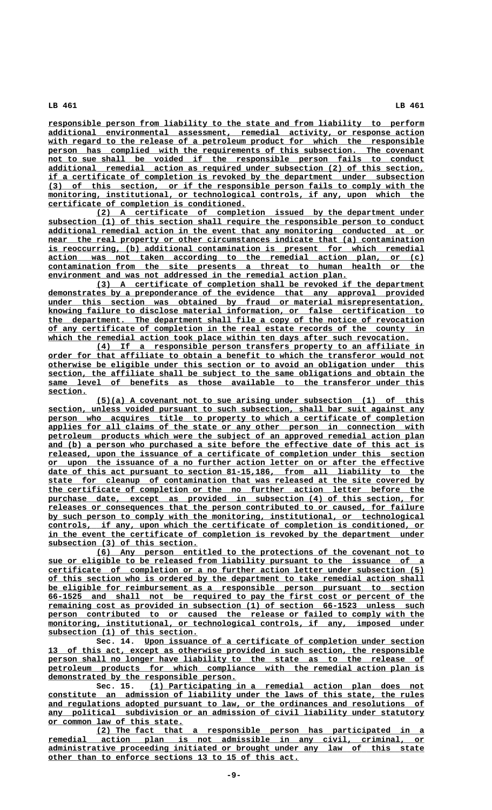**\_\_\_\_\_\_\_\_\_\_\_\_\_\_\_\_\_\_\_\_\_\_\_\_\_\_\_\_\_\_\_\_\_\_\_\_\_\_\_\_\_\_\_\_\_\_\_\_\_\_\_\_\_\_\_\_\_\_\_\_\_\_\_\_\_\_\_\_\_\_\_\_\_\_\_\_\_\_ responsible person from liability to the state and from liability to perform \_\_\_\_\_\_\_\_\_\_\_\_\_\_\_\_\_\_\_\_\_\_\_\_\_\_\_\_\_\_\_\_\_\_\_\_\_\_\_\_\_\_\_\_\_\_\_\_\_\_\_\_\_\_\_\_\_\_\_\_\_\_\_\_\_\_\_\_\_\_\_\_\_\_\_\_\_\_ additional environmental assessment, remedial activity, or response action** with regard to the release of a petroleum product for which the responsible person has complied with the requirements of this subsection. The covenant not to sue shall be voided if the responsible person fails to conduct  **\_\_\_\_\_\_\_\_\_\_\_\_\_\_\_\_\_\_\_\_\_\_\_\_\_\_\_\_\_\_\_\_\_\_\_\_\_\_\_\_\_\_\_\_\_\_\_\_\_\_\_\_\_\_\_\_\_\_\_\_\_\_\_\_\_\_\_\_\_\_\_\_\_\_\_\_\_\_ additional remedial action as required under subsection (2) of this section, \_\_\_\_\_\_\_\_\_\_\_\_\_\_\_\_\_\_\_\_\_\_\_\_\_\_\_\_\_\_\_\_\_\_\_\_\_\_\_\_\_\_\_\_\_\_\_\_\_\_\_\_\_\_\_\_\_\_\_\_\_\_\_\_\_\_\_\_\_\_\_\_\_\_\_\_\_\_ if a certificate of completion is revoked by the department under subsection \_\_\_\_\_\_\_\_\_\_\_\_\_\_\_\_\_\_\_\_\_\_\_\_\_\_\_\_\_\_\_\_\_\_\_\_\_\_\_\_\_\_\_\_\_\_\_\_\_\_\_\_\_\_\_\_\_\_\_\_\_\_\_\_\_\_\_\_\_\_\_\_\_\_\_\_\_\_ (3) of this section, or if the responsible person fails to comply with the**  $\frac{1}{10}$  monitoring, institutional, or technological controls, if any, upon which the  **\_\_\_\_\_\_\_\_\_\_\_\_\_\_\_\_\_\_\_\_\_\_\_\_\_\_\_\_\_\_\_\_\_\_\_\_\_\_\_\_\_ certificate of completion is conditioned.**

 **\_\_\_\_\_\_\_\_\_\_\_\_\_\_\_\_\_\_\_\_\_\_\_\_\_\_\_\_\_\_\_\_\_\_\_\_\_\_\_\_\_\_\_\_\_\_\_\_\_\_\_\_\_\_\_\_\_\_\_\_\_\_\_\_\_\_\_\_ (2) A certificate of completion issued by the department under \_\_\_\_\_\_\_\_\_\_\_\_\_\_\_\_\_\_\_\_\_\_\_\_\_\_\_\_\_\_\_\_\_\_\_\_\_\_\_\_\_\_\_\_\_\_\_\_\_\_\_\_\_\_\_\_\_\_\_\_\_\_\_\_\_\_\_\_\_\_\_\_\_\_\_\_\_\_ subsection (1) of this section shall require the responsible person to conduct \_\_\_\_\_\_\_\_\_\_\_\_\_\_\_\_\_\_\_\_\_\_\_\_\_\_\_\_\_\_\_\_\_\_\_\_\_\_\_\_\_\_\_\_\_\_\_\_\_\_\_\_\_\_\_\_\_\_\_\_\_\_\_\_\_\_\_\_\_\_\_\_\_\_\_\_\_\_ additional remedial action in the event that any monitoring conducted at or**  $near$  the real property or other circumstances indicate that (a) contamination  **\_\_\_\_\_\_\_\_\_\_\_\_\_\_\_\_\_\_\_\_\_\_\_\_\_\_\_\_\_\_\_\_\_\_\_\_\_\_\_\_\_\_\_\_\_\_\_\_\_\_\_\_\_\_\_\_\_\_\_\_\_\_\_\_\_\_\_\_\_\_\_\_\_\_\_\_\_\_ is reoccurring, (b) additional contamination is present for which remedial \_\_\_\_\_\_\_\_\_\_\_\_\_\_\_\_\_\_\_\_\_\_\_\_\_\_\_\_\_\_\_\_\_\_\_\_\_\_\_\_\_\_\_\_\_\_\_\_\_\_\_\_\_\_\_\_\_\_\_\_\_\_\_\_\_\_\_\_\_\_\_\_\_\_\_\_\_\_ action was not taken according to the remedial action plan, or (c) \_\_\_\_\_\_\_\_\_\_\_\_\_\_\_\_\_\_\_\_\_\_\_\_\_\_\_\_\_\_\_\_\_\_\_\_\_\_\_\_\_\_\_\_\_\_\_\_\_\_\_\_\_\_\_\_\_\_\_\_\_\_\_\_\_\_\_\_\_\_\_\_\_\_\_\_\_\_ contamination from the site presents a threat to human health or the \_\_\_\_\_\_\_\_\_\_\_\_\_\_\_\_\_\_\_\_\_\_\_\_\_\_\_\_\_\_\_\_\_\_\_\_\_\_\_\_\_\_\_\_\_\_\_\_\_\_\_\_\_\_\_\_\_\_\_\_\_\_ environment and was not addressed in the remedial action plan.**

 **\_\_\_\_\_\_\_\_\_\_\_\_\_\_\_\_\_\_\_\_\_\_\_\_\_\_\_\_\_\_\_\_\_\_\_\_\_\_\_\_\_\_\_\_\_\_\_\_\_\_\_\_\_\_\_\_\_\_\_\_\_\_\_\_\_\_\_\_ (3) A certificate of completion shall be revoked if the department \_\_\_\_\_\_\_\_\_\_\_\_\_\_\_\_\_\_\_\_\_\_\_\_\_\_\_\_\_\_\_\_\_\_\_\_\_\_\_\_\_\_\_\_\_\_\_\_\_\_\_\_\_\_\_\_\_\_\_\_\_\_\_\_\_\_\_\_\_\_\_\_\_\_\_\_\_\_ demonstrates by a preponderance of the evidence that any approval provided \_\_\_\_\_\_\_\_\_\_\_\_\_\_\_\_\_\_\_\_\_\_\_\_\_\_\_\_\_\_\_\_\_\_\_\_\_\_\_\_\_\_\_\_\_\_\_\_\_\_\_\_\_\_\_\_\_\_\_\_\_\_\_\_\_\_\_\_\_\_\_\_\_\_\_\_\_\_ under this section was obtained by fraud or material misrepresentation, \_\_\_\_\_\_\_\_\_\_\_\_\_\_\_\_\_\_\_\_\_\_\_\_\_\_\_\_\_\_\_\_\_\_\_\_\_\_\_\_\_\_\_\_\_\_\_\_\_\_\_\_\_\_\_\_\_\_\_\_\_\_\_\_\_\_\_\_\_\_\_\_\_\_\_\_\_\_ knowing failure to disclose material information, or false certification to \_\_\_\_\_\_\_\_\_\_\_\_\_\_\_\_\_\_\_\_\_\_\_\_\_\_\_\_\_\_\_\_\_\_\_\_\_\_\_\_\_\_\_\_\_\_\_\_\_\_\_\_\_\_\_\_\_\_\_\_\_\_\_\_\_\_\_\_\_\_\_\_\_\_\_\_\_\_ the department. The department shall file a copy of the notice of revocation \_\_\_\_\_\_\_\_\_\_\_\_\_\_\_\_\_\_\_\_\_\_\_\_\_\_\_\_\_\_\_\_\_\_\_\_\_\_\_\_\_\_\_\_\_\_\_\_\_\_\_\_\_\_\_\_\_\_\_\_\_\_\_\_\_\_\_\_\_\_\_\_\_\_\_\_\_\_ of any certificate of completion in the real estate records of the county in** which the remedial action took place within ten days after such revocation.

> **\_\_\_\_\_\_\_\_\_\_\_\_\_\_\_\_\_\_\_\_\_\_\_\_\_\_\_\_\_\_\_\_\_\_\_\_\_\_\_\_\_\_\_\_\_\_\_\_\_\_\_\_\_\_\_\_\_\_\_\_\_\_\_\_\_\_\_\_ (4) If a responsible person transfers property to an affiliate in** order for that affiliate to obtain a benefit to which the transferor would not  **\_\_\_\_\_\_\_\_\_\_\_\_\_\_\_\_\_\_\_\_\_\_\_\_\_\_\_\_\_\_\_\_\_\_\_\_\_\_\_\_\_\_\_\_\_\_\_\_\_\_\_\_\_\_\_\_\_\_\_\_\_\_\_\_\_\_\_\_\_\_\_\_\_\_\_\_\_\_ otherwise be eligible under this section or to avoid an obligation under this**  $section,$  the affiliate shall be subject to the same obligations and obtain the  **\_\_\_\_\_\_\_\_\_\_\_\_\_\_\_\_\_\_\_\_\_\_\_\_\_\_\_\_\_\_\_\_\_\_\_\_\_\_\_\_\_\_\_\_\_\_\_\_\_\_\_\_\_\_\_\_\_\_\_\_\_\_\_\_\_\_\_\_\_\_\_\_\_\_\_\_\_\_ same level of benefits as those available to the transferor under this section. \_\_\_\_\_\_\_\_**

> **\_\_\_\_\_\_\_\_\_\_\_\_\_\_\_\_\_\_\_\_\_\_\_\_\_\_\_\_\_\_\_\_\_\_\_\_\_\_\_\_\_\_\_\_\_\_\_\_\_\_\_\_\_\_\_\_\_\_\_\_\_\_\_\_\_\_\_\_ (5)(a) A covenant not to sue arising under subsection (1) of this \_\_\_\_\_\_\_\_\_\_\_\_\_\_\_\_\_\_\_\_\_\_\_\_\_\_\_\_\_\_\_\_\_\_\_\_\_\_\_\_\_\_\_\_\_\_\_\_\_\_\_\_\_\_\_\_\_\_\_\_\_\_\_\_\_\_\_\_\_\_\_\_\_\_\_\_\_\_ section, unless voided pursuant to such subsection, shall bar suit against any** person who acquires title to property to which a certificate of completion  **\_\_\_\_\_\_\_\_\_\_\_\_\_\_\_\_\_\_\_\_\_\_\_\_\_\_\_\_\_\_\_\_\_\_\_\_\_\_\_\_\_\_\_\_\_\_\_\_\_\_\_\_\_\_\_\_\_\_\_\_\_\_\_\_\_\_\_\_\_\_\_\_\_\_\_\_\_\_ applies for all claims of the state or any other person in connection with \_\_\_\_\_\_\_\_\_\_\_\_\_\_\_\_\_\_\_\_\_\_\_\_\_\_\_\_\_\_\_\_\_\_\_\_\_\_\_\_\_\_\_\_\_\_\_\_\_\_\_\_\_\_\_\_\_\_\_\_\_\_\_\_\_\_\_\_\_\_\_\_\_\_\_\_\_\_ petroleum products which were the subject of an approved remedial action plan \_\_\_\_\_\_\_\_\_\_\_\_\_\_\_\_\_\_\_\_\_\_\_\_\_\_\_\_\_\_\_\_\_\_\_\_\_\_\_\_\_\_\_\_\_\_\_\_\_\_\_\_\_\_\_\_\_\_\_\_\_\_\_\_\_\_\_\_\_\_\_\_\_\_\_\_\_\_ and (b) a person who purchased a site before the effective date of this act is \_\_\_\_\_\_\_\_\_\_\_\_\_\_\_\_\_\_\_\_\_\_\_\_\_\_\_\_\_\_\_\_\_\_\_\_\_\_\_\_\_\_\_\_\_\_\_\_\_\_\_\_\_\_\_\_\_\_\_\_\_\_\_\_\_\_\_\_\_\_\_\_\_\_\_\_\_\_ released, upon the issuance of a certificate of completion under this section \_\_\_\_\_\_\_\_\_\_\_\_\_\_\_\_\_\_\_\_\_\_\_\_\_\_\_\_\_\_\_\_\_\_\_\_\_\_\_\_\_\_\_\_\_\_\_\_\_\_\_\_\_\_\_\_\_\_\_\_\_\_\_\_\_\_\_\_\_\_\_\_\_\_\_\_\_\_ or upon the issuance of a no further action letter on or after the effective \_\_\_\_\_\_\_\_\_\_\_\_\_\_\_\_\_\_\_\_\_\_\_\_\_\_\_\_\_\_\_\_\_\_\_\_\_\_\_\_\_\_\_\_\_\_\_\_\_\_\_\_\_\_\_\_\_\_\_\_\_\_\_\_\_\_\_\_\_\_\_\_\_\_\_\_\_\_ date of this act pursuant to section 81-15,186, from all liability to the \_\_\_\_\_\_\_\_\_\_\_\_\_\_\_\_\_\_\_\_\_\_\_\_\_\_\_\_\_\_\_\_\_\_\_\_\_\_\_\_\_\_\_\_\_\_\_\_\_\_\_\_\_\_\_\_\_\_\_\_\_\_\_\_\_\_\_\_\_\_\_\_\_\_\_\_\_\_ state for cleanup of contamination that was released at the site covered by \_\_\_\_\_\_\_\_\_\_\_\_\_\_\_\_\_\_\_\_\_\_\_\_\_\_\_\_\_\_\_\_\_\_\_\_\_\_\_\_\_\_\_\_\_\_\_\_\_\_\_\_\_\_\_\_\_\_\_\_\_\_\_\_\_\_\_\_\_\_\_\_\_\_\_\_\_\_ the certificate of completion or the no further action letter before the** purchase date, except as provided in subsection (4) of this section, for  **\_\_\_\_\_\_\_\_\_\_\_\_\_\_\_\_\_\_\_\_\_\_\_\_\_\_\_\_\_\_\_\_\_\_\_\_\_\_\_\_\_\_\_\_\_\_\_\_\_\_\_\_\_\_\_\_\_\_\_\_\_\_\_\_\_\_\_\_\_\_\_\_\_\_\_\_\_\_ releases or consequences that the person contributed to or caused, for failure \_\_\_\_\_\_\_\_\_\_\_\_\_\_\_\_\_\_\_\_\_\_\_\_\_\_\_\_\_\_\_\_\_\_\_\_\_\_\_\_\_\_\_\_\_\_\_\_\_\_\_\_\_\_\_\_\_\_\_\_\_\_\_\_\_\_\_\_\_\_\_\_\_\_\_\_\_\_ by such person to comply with the monitoring, institutional, or technological \_\_\_\_\_\_\_\_\_\_\_\_\_\_\_\_\_\_\_\_\_\_\_\_\_\_\_\_\_\_\_\_\_\_\_\_\_\_\_\_\_\_\_\_\_\_\_\_\_\_\_\_\_\_\_\_\_\_\_\_\_\_\_\_\_\_\_\_\_\_\_\_\_\_\_\_\_\_ controls, if any, upon which the certificate of completion is conditioned, or \_\_\_\_\_\_\_\_\_\_\_\_\_\_\_\_\_\_\_\_\_\_\_\_\_\_\_\_\_\_\_\_\_\_\_\_\_\_\_\_\_\_\_\_\_\_\_\_\_\_\_\_\_\_\_\_\_\_\_\_\_\_\_\_\_\_\_\_\_\_\_\_\_\_\_\_\_\_ in the event the certificate of completion is revoked by the department under \_\_\_\_\_\_\_\_\_\_\_\_\_\_\_\_\_\_\_\_\_\_\_\_\_\_\_\_\_\_\_ subsection (3) of this section.**

> **\_\_\_\_\_\_\_\_\_\_\_\_\_\_\_\_\_\_\_\_\_\_\_\_\_\_\_\_\_\_\_\_\_\_\_\_\_\_\_\_\_\_\_\_\_\_\_\_\_\_\_\_\_\_\_\_\_\_\_\_\_\_\_\_\_\_\_\_ (6) Any person entitled to the protections of the covenant not to \_\_\_\_\_\_\_\_\_\_\_\_\_\_\_\_\_\_\_\_\_\_\_\_\_\_\_\_\_\_\_\_\_\_\_\_\_\_\_\_\_\_\_\_\_\_\_\_\_\_\_\_\_\_\_\_\_\_\_\_\_\_\_\_\_\_\_\_\_\_\_\_\_\_\_\_\_\_ sue or eligible to be released from liability pursuant to the issuance of a \_\_\_\_\_\_\_\_\_\_\_\_\_\_\_\_\_\_\_\_\_\_\_\_\_\_\_\_\_\_\_\_\_\_\_\_\_\_\_\_\_\_\_\_\_\_\_\_\_\_\_\_\_\_\_\_\_\_\_\_\_\_\_\_\_\_\_\_\_\_\_\_\_\_\_\_\_\_ certificate of completion or a no further action letter under subsection (5) \_\_\_\_\_\_\_\_\_\_\_\_\_\_\_\_\_\_\_\_\_\_\_\_\_\_\_\_\_\_\_\_\_\_\_\_\_\_\_\_\_\_\_\_\_\_\_\_\_\_\_\_\_\_\_\_\_\_\_\_\_\_\_\_\_\_\_\_\_\_\_\_\_\_\_\_\_\_ of this section who is ordered by the department to take remedial action shall \_\_\_\_\_\_\_\_\_\_\_\_\_\_\_\_\_\_\_\_\_\_\_\_\_\_\_\_\_\_\_\_\_\_\_\_\_\_\_\_\_\_\_\_\_\_\_\_\_\_\_\_\_\_\_\_\_\_\_\_\_\_\_\_\_\_\_\_\_\_\_\_\_\_\_\_\_\_ be eligible for reimbursement as a responsible person pursuant to section \_\_\_\_\_\_\_\_\_\_\_\_\_\_\_\_\_\_\_\_\_\_\_\_\_\_\_\_\_\_\_\_\_\_\_\_\_\_\_\_\_\_\_\_\_\_\_\_\_\_\_\_\_\_\_\_\_\_\_\_\_\_\_\_\_\_\_\_\_\_\_\_\_\_\_\_\_\_ 66-1525 and shall not be required to pay the first cost or percent of the \_\_\_\_\_\_\_\_\_\_\_\_\_\_\_\_\_\_\_\_\_\_\_\_\_\_\_\_\_\_\_\_\_\_\_\_\_\_\_\_\_\_\_\_\_\_\_\_\_\_\_\_\_\_\_\_\_\_\_\_\_\_\_\_\_\_\_\_\_\_\_\_\_\_\_\_\_\_ remaining cost as provided in subsection (1) of section 66-1523 unless such** person contributed to or caused the release or failed to comply with the  $\text{monitoring}, \text{ institutional}, \text{or technical controls, if any, imposed under}$  **\_\_\_\_\_\_\_\_\_\_\_\_\_\_\_\_\_\_\_\_\_\_\_\_\_\_\_\_\_\_\_ subsection (1) of this section.**

> **\_\_\_\_\_\_\_\_\_\_\_\_\_\_\_\_\_\_\_\_\_\_\_\_\_\_\_\_\_\_\_\_\_\_\_\_\_\_\_\_\_\_\_\_\_\_\_\_\_\_\_\_\_\_\_\_\_\_ Sec. 14. Upon issuance of a certificate of completion under section \_\_\_\_\_\_\_\_\_\_\_\_\_\_\_\_\_\_\_\_\_\_\_\_\_\_\_\_\_\_\_\_\_\_\_\_\_\_\_\_\_\_\_\_\_\_\_\_\_\_\_\_\_\_\_\_\_\_\_\_\_\_\_\_\_\_\_\_\_\_\_\_\_\_\_\_\_\_ 13 of this act, except as otherwise provided in such section, the responsible** person shall no longer have liability to the state as to the release of  **\_\_\_\_\_\_\_\_\_\_\_\_\_\_\_\_\_\_\_\_\_\_\_\_\_\_\_\_\_\_\_\_\_\_\_\_\_\_\_\_\_\_\_\_\_\_\_\_\_\_\_\_\_\_\_\_\_\_\_\_\_\_\_\_\_\_\_\_\_\_\_\_\_\_\_\_\_\_ petroleum products for which compliance with the remedial action plan is \_\_\_\_\_\_\_\_\_\_\_\_\_\_\_\_\_\_\_\_\_\_\_\_\_\_\_\_\_\_\_\_\_\_\_\_\_\_\_ demonstrated by the responsible person.**

 **\_\_\_\_\_\_\_\_\_\_\_\_\_\_\_\_\_\_\_\_\_\_\_\_\_\_\_\_\_\_\_\_\_\_\_\_\_\_\_\_\_\_\_\_\_\_\_\_\_\_\_\_\_\_\_\_\_ Sec. 15. (1) Participating in a remedial action plan does not \_\_\_\_\_\_\_\_\_\_\_\_\_\_\_\_\_\_\_\_\_\_\_\_\_\_\_\_\_\_\_\_\_\_\_\_\_\_\_\_\_\_\_\_\_\_\_\_\_\_\_\_\_\_\_\_\_\_\_\_\_\_\_\_\_\_\_\_\_\_\_\_\_\_\_\_\_\_ constitute an admission of liability under the laws of this state, the rules \_\_\_\_\_\_\_\_\_\_\_\_\_\_\_\_\_\_\_\_\_\_\_\_\_\_\_\_\_\_\_\_\_\_\_\_\_\_\_\_\_\_\_\_\_\_\_\_\_\_\_\_\_\_\_\_\_\_\_\_\_\_\_\_\_\_\_\_\_\_\_\_\_\_\_\_\_\_ and regulations adopted pursuant to law, or the ordinances and resolutions of \_\_\_\_\_\_\_\_\_\_\_\_\_\_\_\_\_\_\_\_\_\_\_\_\_\_\_\_\_\_\_\_\_\_\_\_\_\_\_\_\_\_\_\_\_\_\_\_\_\_\_\_\_\_\_\_\_\_\_\_\_\_\_\_\_\_\_\_\_\_\_\_\_\_\_\_\_\_ any political subdivision or an admission of civil liability under statutory \_\_\_\_\_\_\_\_\_\_\_\_\_\_\_\_\_\_\_\_\_\_\_\_\_\_\_\_ or common law of this state.**

 **\_\_\_\_\_\_\_\_\_\_\_\_\_\_\_\_\_\_\_\_\_\_\_\_\_\_\_\_\_\_\_\_\_\_\_\_\_\_\_\_\_\_\_\_\_\_\_\_\_\_\_\_\_\_\_\_\_\_\_\_\_\_\_\_\_\_\_\_ (2) The fact that a responsible person has participated in a \_\_\_\_\_\_\_\_\_\_\_\_\_\_\_\_\_\_\_\_\_\_\_\_\_\_\_\_\_\_\_\_\_\_\_\_\_\_\_\_\_\_\_\_\_\_\_\_\_\_\_\_\_\_\_\_\_\_\_\_\_\_\_\_\_\_\_\_\_\_\_\_\_\_\_\_\_\_ remedial action plan is not admissible in any civil, criminal, or \_\_\_\_\_\_\_\_\_\_\_\_\_\_\_\_\_\_\_\_\_\_\_\_\_\_\_\_\_\_\_\_\_\_\_\_\_\_\_\_\_\_\_\_\_\_\_\_\_\_\_\_\_\_\_\_\_\_\_\_\_\_\_\_\_\_\_\_\_\_\_\_\_\_\_\_\_\_ administrative proceeding initiated or brought under any law of this state \_\_\_\_\_\_\_\_\_\_\_\_\_\_\_\_\_\_\_\_\_\_\_\_\_\_\_\_\_\_\_\_\_\_\_\_\_\_\_\_\_\_\_\_\_\_\_\_\_\_\_\_ other than to enforce sections 13 to 15 of this act.**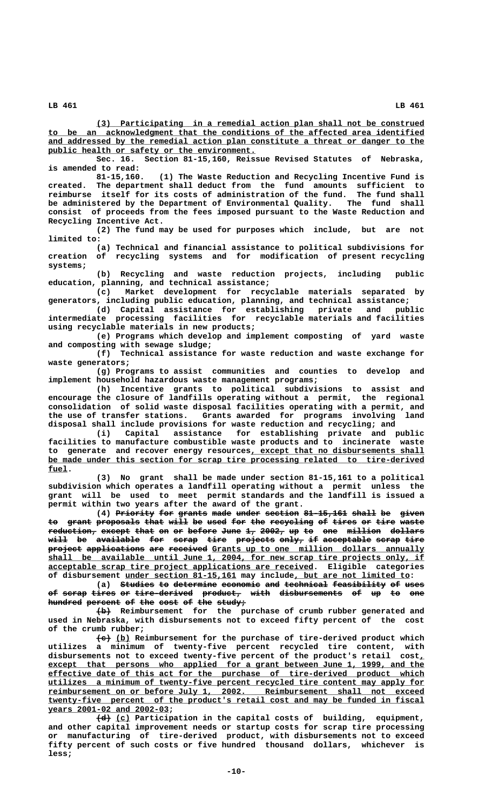**\_\_\_\_\_\_\_\_\_\_\_\_\_\_\_\_\_\_\_\_\_\_\_\_\_\_\_\_\_\_\_\_\_\_\_\_\_\_\_\_\_\_\_\_\_\_\_\_\_\_\_\_\_\_\_\_\_\_\_\_\_\_\_\_\_\_\_\_ (3) Participating in a remedial action plan shall not be construed \_\_\_\_\_\_\_\_\_\_\_\_\_\_\_\_\_\_\_\_\_\_\_\_\_\_\_\_\_\_\_\_\_\_\_\_\_\_\_\_\_\_\_\_\_\_\_\_\_\_\_\_\_\_\_\_\_\_\_\_\_\_\_\_\_\_\_\_\_\_\_\_\_\_\_\_\_\_ to be an acknowledgment that the conditions of the affected area identified \_\_\_\_\_\_\_\_\_\_\_\_\_\_\_\_\_\_\_\_\_\_\_\_\_\_\_\_\_\_\_\_\_\_\_\_\_\_\_\_\_\_\_\_\_\_\_\_\_\_\_\_\_\_\_\_\_\_\_\_\_\_\_\_\_\_\_\_\_\_\_\_\_\_\_\_\_\_ and addressed by the remedial action plan constitute a threat or danger to the** public health or safety or the environment.

**Sec. 16. Section 81-15,160, Reissue Revised Statutes of Nebraska, is amended to read:**

**81-15,160. (1) The Waste Reduction and Recycling Incentive Fund is created. The department shall deduct from the fund amounts sufficient to** reimburse itself for its costs of administration of the fund. **be administered by the Department of Environmental Quality. The fund shall consist of proceeds from the fees imposed pursuant to the Waste Reduction and Recycling Incentive Act.**

**(2) The fund may be used for purposes which include, but are not limited to:**

**(a) Technical and financial assistance to political subdivisions for creation of recycling systems and for modification of present recycling systems;**

**(b) Recycling and waste reduction projects, including public education, planning, and technical assistance;**

**(c) Market development for recyclable materials separated by generators, including public education, planning, and technical assistance;**

**(d) Capital assistance for establishing private and public intermediate processing facilities for recyclable materials and facilities using recyclable materials in new products;**

**(e) Programs which develop and implement composting of yard waste and composting with sewage sludge;**

**(f) Technical assistance for waste reduction and waste exchange for waste generators;**

**(g) Programs to assist communities and counties to develop and implement household hazardous waste management programs;**

**(h) Incentive grants to political subdivisions to assist and encourage the closure of landfills operating without a permit, the regional consolidation of solid waste disposal facilities operating with a permit, and the use of transfer stations. Grants awarded for programs involving land disposal shall include provisions for waste reduction and recycling; and**

**(i) Capital assistance for establishing private and public facilities to manufacture combustible waste products and to incinerate waste** to generate and recover energy resources, except that no disbursements shall  **\_\_\_\_\_\_\_\_\_\_\_\_\_\_\_\_\_\_\_\_\_\_\_\_\_\_\_\_\_\_\_\_\_\_\_\_\_\_\_\_\_\_\_\_\_\_\_\_\_\_\_\_\_\_\_\_\_\_\_\_\_\_\_\_\_\_\_\_\_\_\_\_\_\_\_\_\_\_ be made under this section for scrap tire processing related to tire-derived fuel. \_\_\_\_**

**(3) No grant shall be made under section 81-15,161 to a political subdivision which operates a landfill operating without a permit unless the grant will be used to meet permit standards and the landfill is issued a permit within two years after the award of the grant.**

(4) Priority for grants made under section 81-15,161 shall be given to grant proposals that will be used for the recycling of tires or tire waste  $\texttt{reduction-}$  except that on or before June 1, 2002, up to one million dollars **will be available for scrap tire projects only, if acceptable scrap tire ———— —— ————————— ——— ————— ———— ———————— ————— —— —————————— ————— ——— project applications are received** Grants up to one million dollars annually shall be available until June 1, 2004, for new scrap tire projects only, if  **\_\_\_\_\_\_\_\_\_\_\_\_\_\_\_\_\_\_\_\_\_\_\_\_\_\_\_\_\_\_\_\_\_\_\_\_\_\_\_\_\_\_\_\_\_\_\_\_\_\_\_\_\_\_\_ acceptable scrap tire project applications are received. Eligible categories** of disbursement under section 81-15,161 may include, but are not limited to:

(a) Studies to determine economic and technical feasibility of uses of scrap tires or tire-derived product, with disbursements of up to one hundred percent of the cost of the study;

 **——— (b) Reimbursement for the purchase of crumb rubber generated and used in Nebraska, with disbursements not to exceed fifty percent of the cost of the crumb rubber;**

 $\left\{\frac{e}{e}\right\}$  (b) Reimbursement for the purchase of tire-derived product which **utilizes a minimum of twenty-five percent recycled tire content, with disbursements not to exceed twenty-five percent of the product's retail cost,\_** except that persons who applied for a grant between June 1, 1999, and the  **\_\_\_\_\_\_\_\_\_\_\_\_\_\_\_\_\_\_\_\_\_\_\_\_\_\_\_\_\_\_\_\_\_\_\_\_\_\_\_\_\_\_\_\_\_\_\_\_\_\_\_\_\_\_\_\_\_\_\_\_\_\_\_\_\_\_\_\_\_\_\_\_\_\_\_\_\_\_ effective date of this act for the purchase of tire-derived product which \_\_\_\_\_\_\_\_\_\_\_\_\_\_\_\_\_\_\_\_\_\_\_\_\_\_\_\_\_\_\_\_\_\_\_\_\_\_\_\_\_\_\_\_\_\_\_\_\_\_\_\_\_\_\_\_\_\_\_\_\_\_\_\_\_\_\_\_\_\_\_\_\_\_\_\_\_\_ utilizes a minimum of twenty-five percent recycled tire content may apply for \_\_\_\_\_\_\_\_\_\_\_\_\_\_\_\_\_\_\_\_\_\_\_\_\_\_\_\_\_\_\_\_\_\_\_\_\_\_\_\_\_\_\_\_\_\_\_\_\_\_\_\_\_\_\_\_\_\_\_\_\_\_\_\_\_\_\_\_\_\_\_\_\_\_\_\_\_\_ reimbursement on or before July 1, 2002. Reimbursement shall not exceed \_\_\_\_\_\_\_\_\_\_\_\_\_\_\_\_\_\_\_\_\_\_\_\_\_\_\_\_\_\_\_\_\_\_\_\_\_\_\_\_\_\_\_\_\_\_\_\_\_\_\_\_\_\_\_\_\_\_\_\_\_\_\_\_\_\_\_\_\_\_\_\_\_\_\_\_\_\_ twenty-five percent of the product's retail cost and may be funded in fiscal \_\_\_\_\_\_\_\_\_\_\_\_\_\_\_\_\_\_\_\_\_\_\_\_\_ years 2001-02 and 2002-03;**

 **——— \_\_\_ (d) (c) Participation in the capital costs of building, equipment, and other capital improvement needs or startup costs for scrap tire processing or manufacturing of tire-derived product, with disbursements not to exceed fifty percent of such costs or five hundred thousand dollars, whichever is less;**